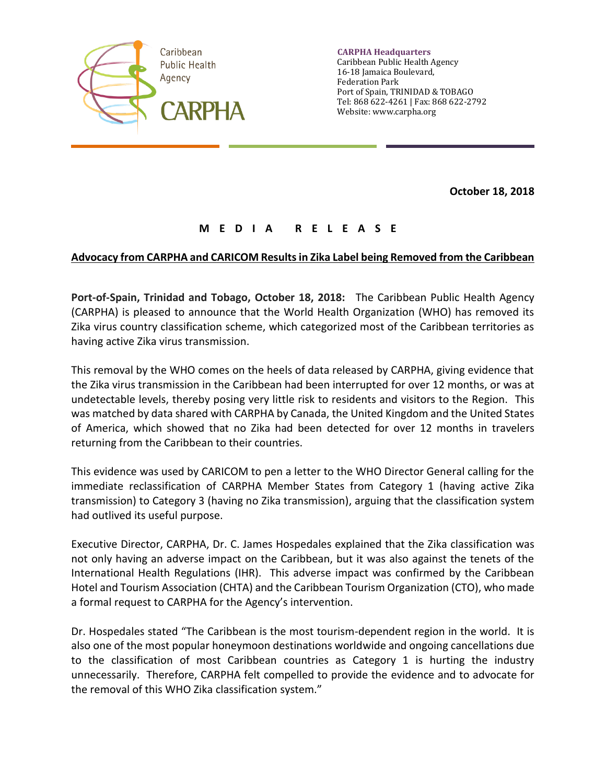

**CARPHA Headquarters** Caribbean Public Health Agency 16-18 Jamaica Boulevard, Federation Park Port of Spain, TRINIDAD & TOBAGO Tel: 868 622-4261 | Fax: 868 622-2792 Website: www.carpha.org

**October 18, 2018**

## **M E D I A R E L E A S E**

## **Advocacy from CARPHA and CARICOM Resultsin Zika Label being Removed from the Caribbean**

**Port-of-Spain, Trinidad and Tobago, October 18, 2018:** The Caribbean Public Health Agency (CARPHA) is pleased to announce that the World Health Organization (WHO) has removed its Zika virus country classification scheme, which categorized most of the Caribbean territories as having active Zika virus transmission.

This removal by the WHO comes on the heels of data released by CARPHA, giving evidence that the Zika virus transmission in the Caribbean had been interrupted for over 12 months, or was at undetectable levels, thereby posing very little risk to residents and visitors to the Region. This was matched by data shared with CARPHA by Canada, the United Kingdom and the United States of America, which showed that no Zika had been detected for over 12 months in travelers returning from the Caribbean to their countries.

This evidence was used by CARICOM to pen a letter to the WHO Director General calling for the immediate reclassification of CARPHA Member States from Category 1 (having active Zika transmission) to Category 3 (having no Zika transmission), arguing that the classification system had outlived its useful purpose.

Executive Director, CARPHA, Dr. C. James Hospedales explained that the Zika classification was not only having an adverse impact on the Caribbean, but it was also against the tenets of the International Health Regulations (IHR). This adverse impact was confirmed by the Caribbean Hotel and Tourism Association (CHTA) and the Caribbean Tourism Organization (CTO), who made a formal request to CARPHA for the Agency's intervention.

Dr. Hospedales stated "The Caribbean is the most tourism-dependent region in the world. It is also one of the most popular honeymoon destinations worldwide and ongoing cancellations due to the classification of most Caribbean countries as Category 1 is hurting the industry unnecessarily. Therefore, CARPHA felt compelled to provide the evidence and to advocate for the removal of this WHO Zika classification system."